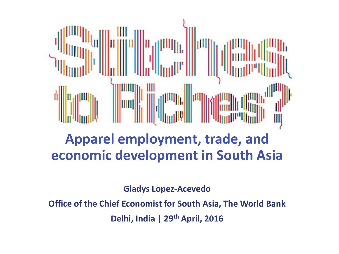

### **Apparel employment, trade, and economic development in South Asia**

**Gladys Lopez-Acevedo**

**Office of the Chief Economist for South Asia, The World Bank Delhi, India | 29th April, 2016**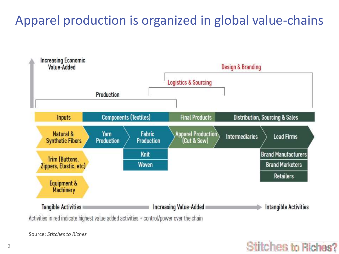Apparel production is organized in global value-chains



**Stitches to Riches?** 

Activities in red indicate highest value added activities + control/power over the chain

Source: *Stitches to Riches*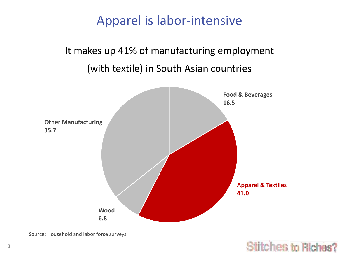#### Apparel is labor-intensive

#### It makes up 41% of manufacturing employment (with textile) in South Asian countries



**1es to Riches?** 

Source: Household and labor force surveys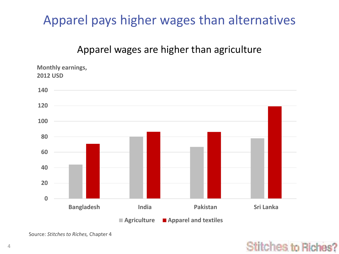#### Apparel pays higher wages than alternatives

#### Apparel wages are higher than agriculture



Source: *Stitches to Riches,* Chapter 4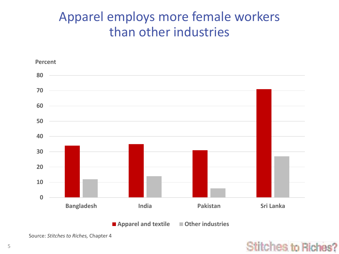#### Apparel employs more female workers than other industries



Source: *Stitches to Riches,* Chapter 4

#### **Stitches to Riches?**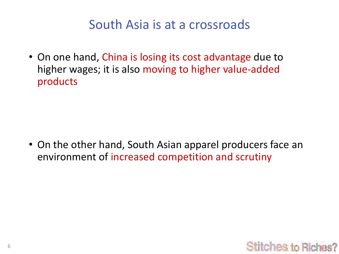#### South Asia is at a crossroads

• On one hand, China is losing its cost advantage due to higher wages; it is also moving to higher value-added products

• On the other hand, South Asian apparel producers face an environment of increased competition and scrutiny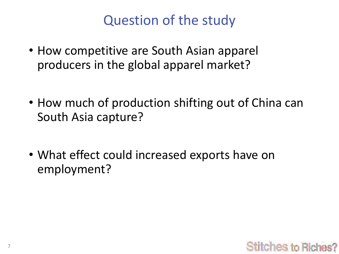# Question of the study

- How competitive are South Asian apparel producers in the global apparel market?
- How much of production shifting out of China can South Asia capture?
- What effect could increased exports have on employment?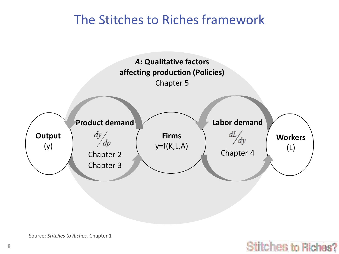#### The Stitches to Riches framework



titches to Riches?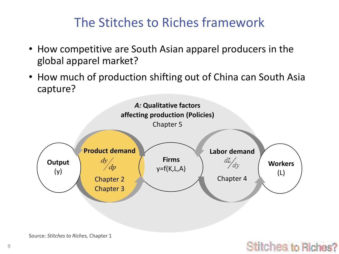#### The Stitches to Riches framework

- How competitive are South Asian apparel producers in the global apparel market?
- How much of production shifting out of China can South Asia capture?



#### hes to Rich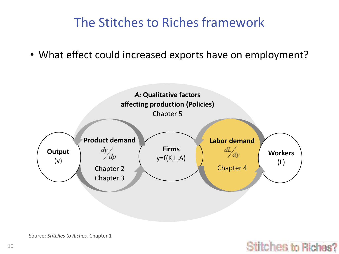#### The Stitches to Riches framework

• What effect could increased exports have on employment?



tches to Riches?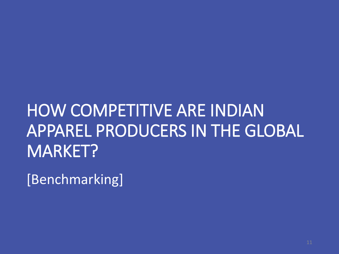# HOW COMPETITIVE ARE INDIAN APPAREL PRODUCERS IN THE GLOBAL MARKET?

[Benchmarking]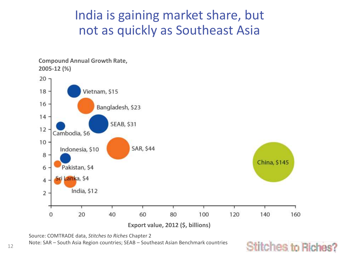#### India is gaining market share, but not as quickly as Southeast Asia



es to Riches?



Note: SAR – South Asia Region countries; SEAB – Southeast Asian Benchmark countries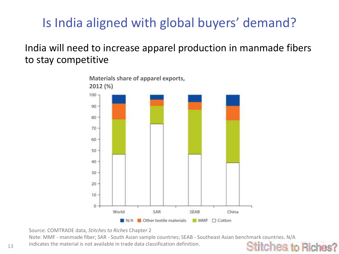## Is India aligned with global buyers' demand?

India will need to increase apparel production in manmade fibers to stay competitive



Source: COMTRADE data, *Stitches to Riches* Chapter 2

Note: MMF - manmade fiber; SAR - South Asian sample countries; SEAB - Southeast Asian benchmark countries. N/A

hes to Rich

 $13$  indicates the material is not available in trade data classification definition.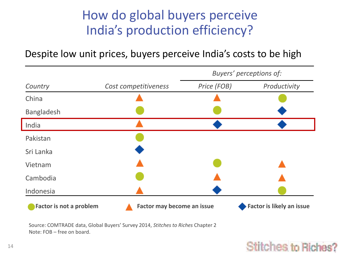#### How do global buyers perceive India's production efficiency?

Despite low unit prices, buyers perceive India's costs to be high

|                                |                            | Buyers' perceptions of: |                           |
|--------------------------------|----------------------------|-------------------------|---------------------------|
| Country                        | Cost competitiveness       | Price (FOB)             | Productivity              |
| China                          |                            |                         |                           |
| <b>Bangladesh</b>              |                            |                         |                           |
| India                          |                            |                         |                           |
| Pakistan                       |                            |                         |                           |
| Sri Lanka                      |                            |                         |                           |
| Vietnam                        |                            |                         |                           |
| Cambodia                       |                            |                         |                           |
| Indonesia                      |                            |                         |                           |
| <b>Factor is not a problem</b> | Factor may become an issue |                         | Factor is likely an issue |

Source: COMTRADE data, Global Buyers' Survey 2014, *Stitches to Riches* Chapter 2 Note: FOB – free on board.

#### es to Rich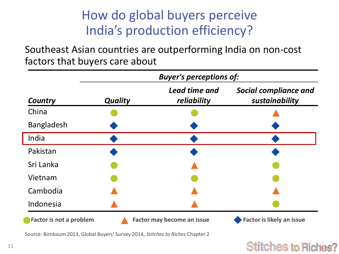## How do global buyers perceive India's production efficiency?

Southeast Asian countries are outperforming India on non-cost factors that buyers care about

|                                | <b>Buyer's perceptions of:</b> |                              |                                                |  |
|--------------------------------|--------------------------------|------------------------------|------------------------------------------------|--|
| Country                        | <b>Quality</b>                 | Lead time and<br>reliability | <b>Social compliance and</b><br>sustainability |  |
| China                          |                                |                              |                                                |  |
| <b>Bangladesh</b>              |                                |                              |                                                |  |
| India                          |                                |                              |                                                |  |
| Pakistan                       |                                |                              |                                                |  |
| Sri Lanka                      |                                |                              |                                                |  |
| Vietnam                        |                                |                              |                                                |  |
| Cambodia                       |                                |                              |                                                |  |
| Indonesia                      |                                |                              |                                                |  |
| <b>Factor is not a problem</b> |                                | Factor may become an issue   | <b>Factor is likely an issue</b>               |  |

Source: Birnbaum 2013, Global Buyers' Survey 2014, *Stitches to Riches* Chapter 2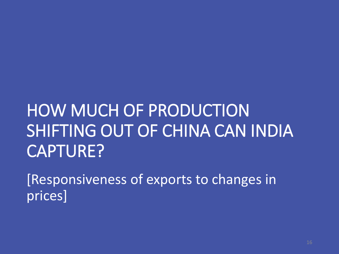# HOW MUCH OF PRODUCTION SHIFTING OUT OF CHINA CAN INDIA CAPTURE?

[Responsiveness of exports to changes in prices]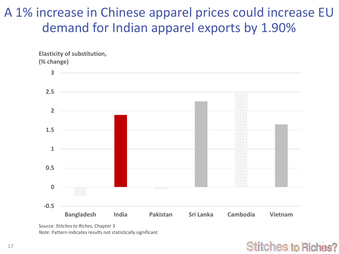#### A 1% increase in Chinese apparel prices could increase EU demand for Indian apparel exports by 1.90%



Source: *Stitches to Riches,* Chapter 3 *Note*: Pattern indicates results not statistically significant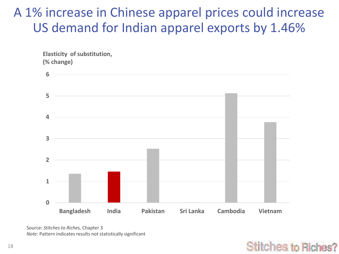#### A 1% increase in Chinese apparel prices could increase US demand for Indian apparel exports by 1.46%

**Elasticity of substitution, (% change)**



Source: *Stitches to Riches,* Chapter 3 *Note*: Pattern indicates results not statistically significant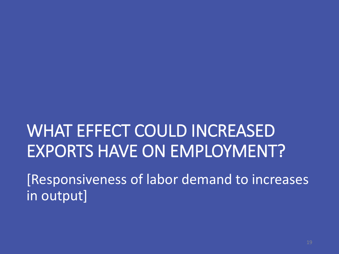# WHAT EFFECT COULD INCREASED EXPORTS HAVE ON EMPLOYMENT?

[Responsiveness of labor demand to increases in output]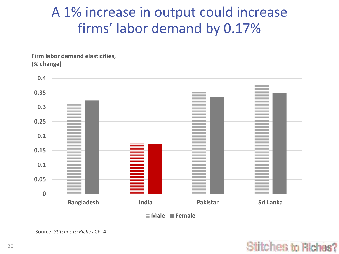## A 1% increase in output could increase firms' labor demand by 0.17%

**Firm labor demand elasticities, (% change)**



**Male Female**

Source: *Stitches to Riches* Ch. 4

#### titches to Riches?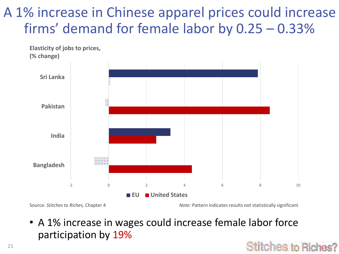# A 1% increase in Chinese apparel prices could increase firms' demand for female labor by 0.25 – 0.33%



Source: *Stitches to Riches,* Chapter 4 *Note:* Pattern indicates results not statistically significant

es to Rich

• A 1% increase in wages could increase female labor force participation by 19%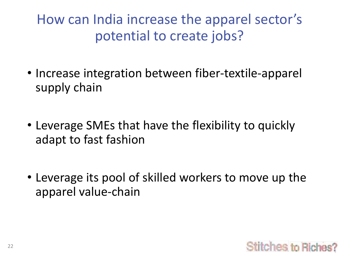How can India increase the apparel sector's potential to create jobs?

- Increase integration between fiber-textile-apparel supply chain
- Leverage SMEs that have the flexibility to quickly adapt to fast fashion
- Leverage its pool of skilled workers to move up the apparel value-chain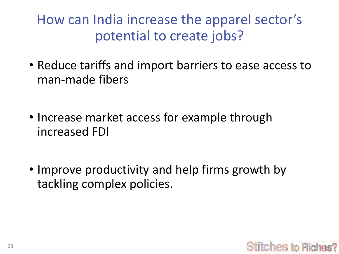How can India increase the apparel sector's potential to create jobs?

- Reduce tariffs and import barriers to ease access to man-made fibers
- Increase market access for example through increased FDI
- Improve productivity and help firms growth by tackling complex policies.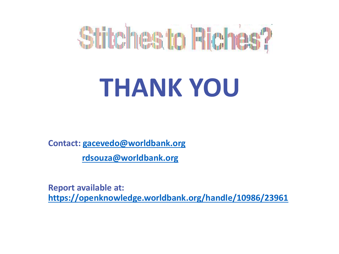

# **THANK YOU**

**Contact: [gacevedo@worldbank.org](mailto:gacevedo@worldbank.org)**

**[rdsouza@worldbank.org](mailto:rdsouza@worldbank.org)**

**Report available at: <https://openknowledge.worldbank.org/handle/10986/23961>**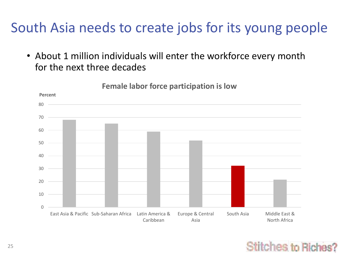# South Asia needs to create jobs for its young people

• About 1 million individuals will enter the workforce every month for the next three decades



#### **Female labor force participation is low**